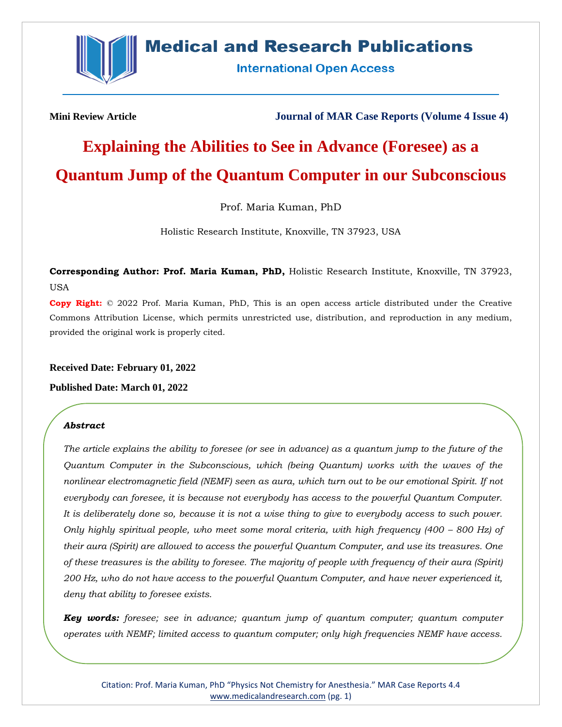

## **Medical and Research Publications**

**International Open Access** 

**Mini Review Article Journal of MAR Case Reports (Volume 4 Issue 4)**

# **Explaining the Abilities to See in Advance (Foresee) as a Quantum Jump of the Quantum Computer in our Subconscious**

Prof. Maria Kuman, PhD

Holistic Research Institute, Knoxville, TN 37923, USA

**Corresponding Author: Prof. Maria Kuman, PhD,** Holistic Research Institute, Knoxville, TN 37923, USA

**Copy Right:** © 2022 Prof. Maria Kuman, PhD, This is an open access article distributed under the Creative Commons Attribution License, which permits unrestricted use, distribution, and reproduction in any medium, provided the original work is properly cited.

#### **Received Date: February 01, 2022**

#### **Published Date: March 01, 2022**

#### *Abstract*

*The article explains the ability to foresee (or see in advance) as a quantum jump to the future of the Quantum Computer in the Subconscious, which (being Quantum) works with the waves of the nonlinear electromagnetic field (NEMF) seen as aura, which turn out to be our emotional Spirit. If not everybody can foresee, it is because not everybody has access to the powerful Quantum Computer. It is deliberately done so, because it is not a wise thing to give to everybody access to such power. Only highly spiritual people, who meet some moral criteria, with high frequency (400 – 800 Hz) of their aura (Spirit) are allowed to access the powerful Quantum Computer, and use its treasures. One of these treasures is the ability to foresee. The majority of people with frequency of their aura (Spirit) 200 Hz, who do not have access to the powerful Quantum Computer, and have never experienced it, deny that ability to foresee exists.*

*Key words: foresee; see in advance; quantum jump of quantum computer; quantum computer operates with NEMF; limited access to quantum computer; only high frequencies NEMF have access.*

Citation: Prof. Maria Kuman, PhD "Physics Not Chemistry for Anesthesia." MAR Case Reports 4.4 [www.medicalandresearch.com](http://www.medicalandresearch.com/) (pg. 1)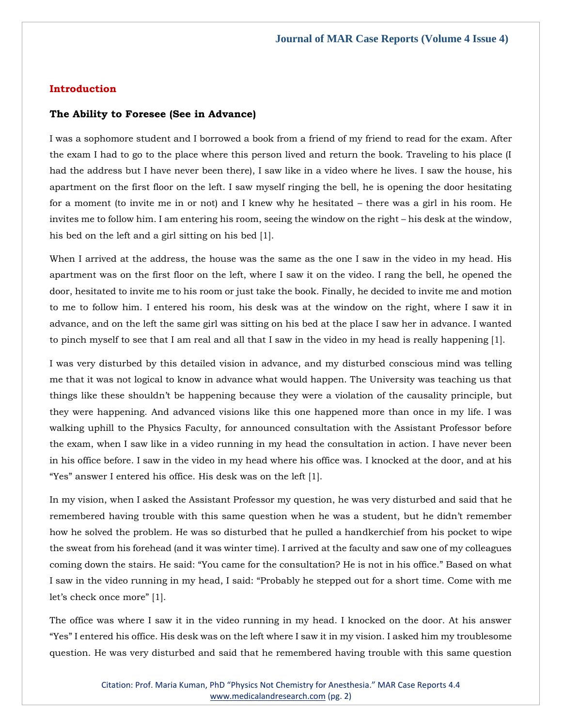#### **Introduction**

#### **The Ability to Foresee (See in Advance)**

I was a sophomore student and I borrowed a book from a friend of my friend to read for the exam. After the exam I had to go to the place where this person lived and return the book. Traveling to his place (I had the address but I have never been there), I saw like in a video where he lives. I saw the house, his apartment on the first floor on the left. I saw myself ringing the bell, he is opening the door hesitating for a moment (to invite me in or not) and I knew why he hesitated – there was a girl in his room. He invites me to follow him. I am entering his room, seeing the window on the right – his desk at the window, his bed on the left and a girl sitting on his bed [1].

When I arrived at the address, the house was the same as the one I saw in the video in my head. His apartment was on the first floor on the left, where I saw it on the video. I rang the bell, he opened the door, hesitated to invite me to his room or just take the book. Finally, he decided to invite me and motion to me to follow him. I entered his room, his desk was at the window on the right, where I saw it in advance, and on the left the same girl was sitting on his bed at the place I saw her in advance. I wanted to pinch myself to see that I am real and all that I saw in the video in my head is really happening [1].

I was very disturbed by this detailed vision in advance, and my disturbed conscious mind was telling me that it was not logical to know in advance what would happen. The University was teaching us that things like these shouldn't be happening because they were a violation of the causality principle, but they were happening. And advanced visions like this one happened more than once in my life. I was walking uphill to the Physics Faculty, for announced consultation with the Assistant Professor before the exam, when I saw like in a video running in my head the consultation in action. I have never been in his office before. I saw in the video in my head where his office was. I knocked at the door, and at his "Yes" answer I entered his office. His desk was on the left [1].

In my vision, when I asked the Assistant Professor my question, he was very disturbed and said that he remembered having trouble with this same question when he was a student, but he didn't remember how he solved the problem. He was so disturbed that he pulled a handkerchief from his pocket to wipe the sweat from his forehead (and it was winter time). I arrived at the faculty and saw one of my colleagues coming down the stairs. He said: "You came for the consultation? He is not in his office." Based on what I saw in the video running in my head, I said: "Probably he stepped out for a short time. Come with me let's check once more" [1].

The office was where I saw it in the video running in my head. I knocked on the door. At his answer "Yes" I entered his office. His desk was on the left where I saw it in my vision. I asked him my troublesome question. He was very disturbed and said that he remembered having trouble with this same question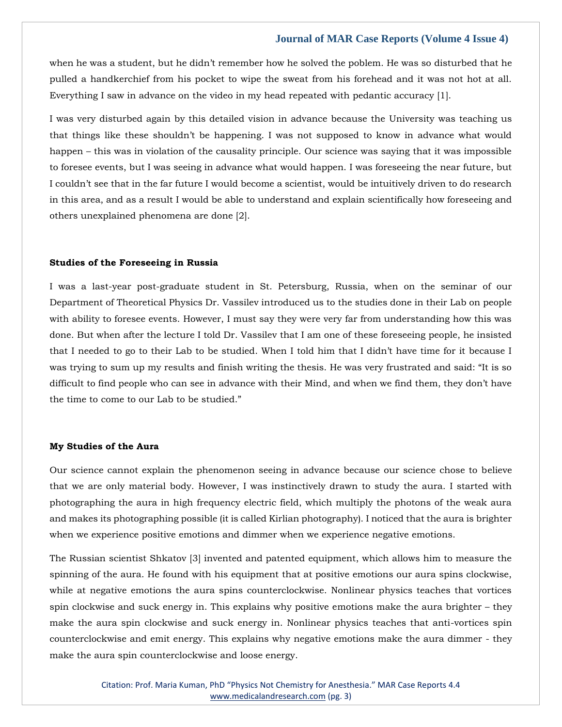when he was a student, but he didn't remember how he solved the poblem. He was so disturbed that he pulled a handkerchief from his pocket to wipe the sweat from his forehead and it was not hot at all. Everything I saw in advance on the video in my head repeated with pedantic accuracy [1].

I was very disturbed again by this detailed vision in advance because the University was teaching us that things like these shouldn't be happening. I was not supposed to know in advance what would happen – this was in violation of the causality principle. Our science was saying that it was impossible to foresee events, but I was seeing in advance what would happen. I was foreseeing the near future, but I couldn't see that in the far future I would become a scientist, would be intuitively driven to do research in this area, and as a result I would be able to understand and explain scientifically how foreseeing and others unexplained phenomena are done [2].

#### **Studies of the Foreseeing in Russia**

I was a last-year post-graduate student in St. Petersburg, Russia, when on the seminar of our Department of Theoretical Physics Dr. Vassilev introduced us to the studies done in their Lab on people with ability to foresee events. However, I must say they were very far from understanding how this was done. But when after the lecture I told Dr. Vassilev that I am one of these foreseeing people, he insisted that I needed to go to their Lab to be studied. When I told him that I didn't have time for it because I was trying to sum up my results and finish writing the thesis. He was very frustrated and said: "It is so difficult to find people who can see in advance with their Mind, and when we find them, they don't have the time to come to our Lab to be studied."

#### **My Studies of the Aura**

Our science cannot explain the phenomenon seeing in advance because our science chose to believe that we are only material body. However, I was instinctively drawn to study the aura. I started with photographing the aura in high frequency electric field, which multiply the photons of the weak aura and makes its photographing possible (it is called Kirlian photography). I noticed that the aura is brighter when we experience positive emotions and dimmer when we experience negative emotions.

The Russian scientist Shkatov [3] invented and patented equipment, which allows him to measure the spinning of the aura. He found with his equipment that at positive emotions our aura spins clockwise, while at negative emotions the aura spins counterclockwise. Nonlinear physics teaches that vortices spin clockwise and suck energy in. This explains why positive emotions make the aura brighter – they make the aura spin clockwise and suck energy in. Nonlinear physics teaches that anti-vortices spin counterclockwise and emit energy. This explains why negative emotions make the aura dimmer - they make the aura spin counterclockwise and loose energy.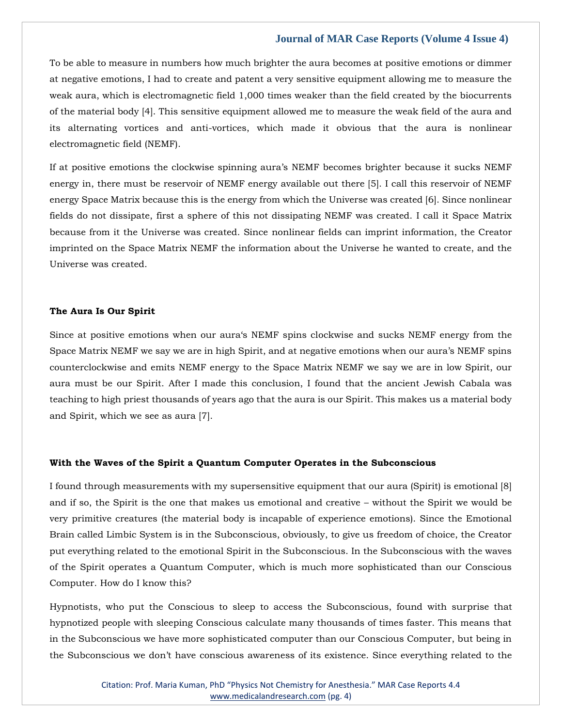To be able to measure in numbers how much brighter the aura becomes at positive emotions or dimmer at negative emotions, I had to create and patent a very sensitive equipment allowing me to measure the weak aura, which is electromagnetic field 1,000 times weaker than the field created by the biocurrents of the material body [4]. This sensitive equipment allowed me to measure the weak field of the aura and its alternating vortices and anti-vortices, which made it obvious that the aura is nonlinear electromagnetic field (NEMF).

If at positive emotions the clockwise spinning aura's NEMF becomes brighter because it sucks NEMF energy in, there must be reservoir of NEMF energy available out there [5]. I call this reservoir of NEMF energy Space Matrix because this is the energy from which the Universe was created [6]. Since nonlinear fields do not dissipate, first a sphere of this not dissipating NEMF was created. I call it Space Matrix because from it the Universe was created. Since nonlinear fields can imprint information, the Creator imprinted on the Space Matrix NEMF the information about the Universe he wanted to create, and the Universe was created.

#### **The Aura Is Our Spirit**

Since at positive emotions when our aura's NEMF spins clockwise and sucks NEMF energy from the Space Matrix NEMF we say we are in high Spirit, and at negative emotions when our aura's NEMF spins counterclockwise and emits NEMF energy to the Space Matrix NEMF we say we are in low Spirit, our aura must be our Spirit. After I made this conclusion, I found that the ancient Jewish Cabala was teaching to high priest thousands of years ago that the aura is our Spirit. This makes us a material body and Spirit, which we see as aura [7].

#### **With the Waves of the Spirit a Quantum Computer Operates in the Subconscious**

I found through measurements with my supersensitive equipment that our aura (Spirit) is emotional [8] and if so, the Spirit is the one that makes us emotional and creative – without the Spirit we would be very primitive creatures (the material body is incapable of experience emotions). Since the Emotional Brain called Limbic System is in the Subconscious, obviously, to give us freedom of choice, the Creator put everything related to the emotional Spirit in the Subconscious. In the Subconscious with the waves of the Spirit operates a Quantum Computer, which is much more sophisticated than our Conscious Computer. How do I know this?

Hypnotists, who put the Conscious to sleep to access the Subconscious, found with surprise that hypnotized people with sleeping Conscious calculate many thousands of times faster. This means that in the Subconscious we have more sophisticated computer than our Conscious Computer, but being in the Subconscious we don't have conscious awareness of its existence. Since everything related to the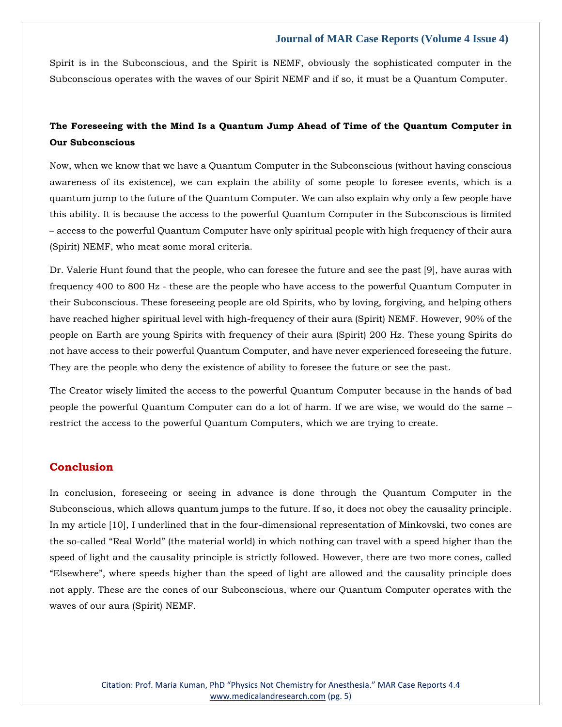Spirit is in the Subconscious, and the Spirit is NEMF, obviously the sophisticated computer in the Subconscious operates with the waves of our Spirit NEMF and if so, it must be a Quantum Computer.

### **The Foreseeing with the Mind Is a Quantum Jump Ahead of Time of the Quantum Computer in Our Subconscious**

Now, when we know that we have a Quantum Computer in the Subconscious (without having conscious awareness of its existence), we can explain the ability of some people to foresee events, which is a quantum jump to the future of the Quantum Computer. We can also explain why only a few people have this ability. It is because the access to the powerful Quantum Computer in the Subconscious is limited – access to the powerful Quantum Computer have only spiritual people with high frequency of their aura (Spirit) NEMF, who meat some moral criteria.

Dr. Valerie Hunt found that the people, who can foresee the future and see the past [9], have auras with frequency 400 to 800 Hz - these are the people who have access to the powerful Quantum Computer in their Subconscious. These foreseeing people are old Spirits, who by loving, forgiving, and helping others have reached higher spiritual level with high-frequency of their aura (Spirit) NEMF. However, 90% of the people on Earth are young Spirits with frequency of their aura (Spirit) 200 Hz. These young Spirits do not have access to their powerful Quantum Computer, and have never experienced foreseeing the future. They are the people who deny the existence of ability to foresee the future or see the past.

The Creator wisely limited the access to the powerful Quantum Computer because in the hands of bad people the powerful Quantum Computer can do a lot of harm. If we are wise, we would do the same – restrict the access to the powerful Quantum Computers, which we are trying to create.

#### **Conclusion**

In conclusion, foreseeing or seeing in advance is done through the Quantum Computer in the Subconscious, which allows quantum jumps to the future. If so, it does not obey the causality principle. In my article [10], I underlined that in the four-dimensional representation of Minkovski, two cones are the so-called "Real World" (the material world) in which nothing can travel with a speed higher than the speed of light and the causality principle is strictly followed. However, there are two more cones, called "Elsewhere", where speeds higher than the speed of light are allowed and the causality principle does not apply. These are the cones of our Subconscious, where our Quantum Computer operates with the waves of our aura (Spirit) NEMF.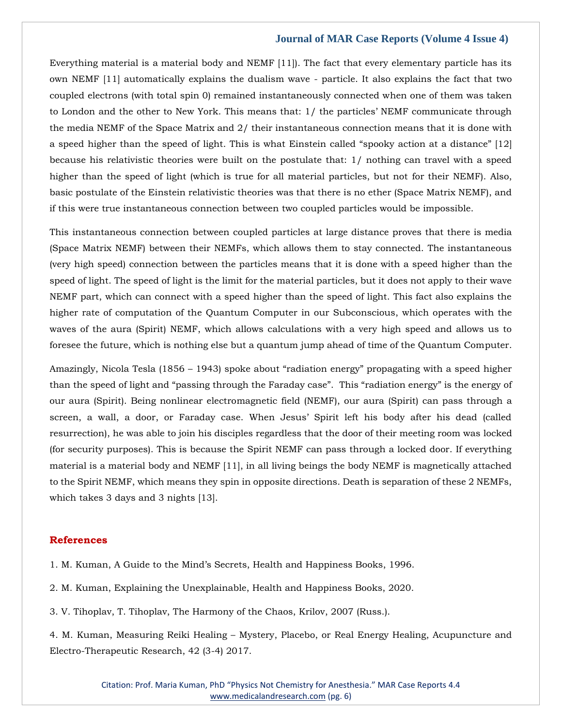Everything material is a material body and NEMF [11]). The fact that every elementary particle has its own NEMF [11] automatically explains the dualism wave - particle. It also explains the fact that two coupled electrons (with total spin 0) remained instantaneously connected when one of them was taken to London and the other to New York. This means that: 1/ the particles' NEMF communicate through the media NEMF of the Space Matrix and 2/ their instantaneous connection means that it is done with a speed higher than the speed of light. This is what Einstein called "spooky action at a distance" [12] because his relativistic theories were built on the postulate that: 1/ nothing can travel with a speed higher than the speed of light (which is true for all material particles, but not for their NEMF). Also, basic postulate of the Einstein relativistic theories was that there is no ether (Space Matrix NEMF), and if this were true instantaneous connection between two coupled particles would be impossible.

This instantaneous connection between coupled particles at large distance proves that there is media (Space Matrix NEMF) between their NEMFs, which allows them to stay connected. The instantaneous (very high speed) connection between the particles means that it is done with a speed higher than the speed of light. The speed of light is the limit for the material particles, but it does not apply to their wave NEMF part, which can connect with a speed higher than the speed of light. This fact also explains the higher rate of computation of the Quantum Computer in our Subconscious, which operates with the waves of the aura (Spirit) NEMF, which allows calculations with a very high speed and allows us to foresee the future, which is nothing else but a quantum jump ahead of time of the Quantum Computer.

Amazingly, Nicola Tesla (1856 – 1943) spoke about "radiation energy" propagating with a speed higher than the speed of light and "passing through the Faraday case". This "radiation energy" is the energy of our aura (Spirit). Being nonlinear electromagnetic field (NEMF), our aura (Spirit) can pass through a screen, a wall, a door, or Faraday case. When Jesus' Spirit left his body after his dead (called resurrection), he was able to join his disciples regardless that the door of their meeting room was locked (for security purposes). This is because the Spirit NEMF can pass through a locked door. If everything material is a material body and NEMF [11], in all living beings the body NEMF is magnetically attached to the Spirit NEMF, which means they spin in opposite directions. Death is separation of these 2 NEMFs, which takes 3 days and 3 nights [13].

#### **References**

[1. M. Kuman, A Guide to the Mind's Secrets, Health and Happiness Books, 1996.](https://www.google.com/search?q=A+Guide+to+the+Mind%E2%80%99s+Secrets&sxsrf=APq-WBv7lcwI-umHN8XBXnDV6vr-SjGXxQ%3A1644837882230&ei=-jsKYpKtDZaH4-EPxZI-&ved=0ahUKEwiSkrvNiv_1AhWWwzgGHUWJDwAQ4dUDCA8&oq=A+Guide+to+the+Mind%E2%80%99s+Secrets&gs_lcp=Cgdnd3Mtd2l6EAwyCAghEBYQHRAeOgcIIxDqAhAnSgQIQRgASgQIRhgAUK4JWK4JYLIPaAFwAXgAgAGmAYgBpgGSAQMwLjGYAQCgAQGgAQKwAQrAAQE&sclient=gws-wiz)

[2. M. Kuman, Explaining the Unexplainable, Health and Happiness Books, 2020.](https://www.google.com/search?q=Explaining+the+Unexplainable&sxsrf=APq-WBvzOwYJ9aJlLPMyh61jvSKqgxa50g%3A1644838653572&ei=_T4KYqmwIoua4-EPzoin2As&ved=0ahUKEwjpoqK9jf_1AhULzTgGHU7ECbsQ4dUDCA8&uact=5&oq=Explaining+the+Unexplainable&gs_lcp=Cgdnd3Mtd2l6EAMyBQgAEIAEMgUIABCABDoHCCMQ6gIQJ0oECEEYAEoECEYYAFD9Dlj9DmCBG2gBcAF4AIABhAGIAYQBkgEDMC4xmAEAoAEBoAECsAEKwAEB&sclient=gws-wiz)

[3. V. Tihoplav, T. Tihoplav, The Harmony of the Chaos, Krilov, 2007 \(Russ.\).](https://www.google.com/search?q=The+Harmony+of+the+Chaos&sxsrf=APq-WBv4ruld96aSMubS5lTeT2veEa4M9g%3A1644838674673&ei=Ej8KYv_BKIOe4-EPqP-_-AE&ved=0ahUKEwj_kqrHjf_1AhUDzzgGHaj_Dx8Q4dUDCA8&uact=5&oq=The+Harmony+of+the+Chaos&gs_lcp=Cgdnd3Mtd2l6EAMyBAgjECcyBggAEBYQHjoHCCMQ6gIQJ0oECEEYAEoECEYYAFDXAVjXAWDLDGgBcAB4AIABhgGIAYYBkgEDMC4xmAEAoAEBoAECsAEKwAEB&sclient=gws-wiz)

4. M. Kuman, Measuring Reiki Healing – [Mystery, Placebo, or Real Energy Healing, Acupuncture and](https://www.google.com/search?q=Measuring+Reiki+Healing+%E2%80%93+Mystery&sxsrf=APq-WBujocO8X_Mkci-h8Ex5HTm9Tyh0Ww%3A1644838694524&ei=Jj8KYpe1H5ua4-EPyvO88AI&ved=0ahUKEwiX4OXQjf_1AhUbzTgGHco5Dy4Q4dUDCA8&oq=Measuring+Reiki+Healing+%E2%80%93+Mystery&gs_lcp=Cgdnd3Mtd2l6EAw6BwgjEOoCECdKBAhBGABKBAhGGABQ4ghY4ghgghJoAXABeACAAc8BiAHPAZIBAzItMZgBAKABAaABArABCsABAQ&sclient=gws-wiz)  [Electro-Therapeutic Research, 42 \(3-4\) 2017.](https://www.google.com/search?q=Measuring+Reiki+Healing+%E2%80%93+Mystery&sxsrf=APq-WBujocO8X_Mkci-h8Ex5HTm9Tyh0Ww%3A1644838694524&ei=Jj8KYpe1H5ua4-EPyvO88AI&ved=0ahUKEwiX4OXQjf_1AhUbzTgGHco5Dy4Q4dUDCA8&oq=Measuring+Reiki+Healing+%E2%80%93+Mystery&gs_lcp=Cgdnd3Mtd2l6EAw6BwgjEOoCECdKBAhBGABKBAhGGABQ4ghY4ghgghJoAXABeACAAc8BiAHPAZIBAzItMZgBAKABAaABArABCsABAQ&sclient=gws-wiz)